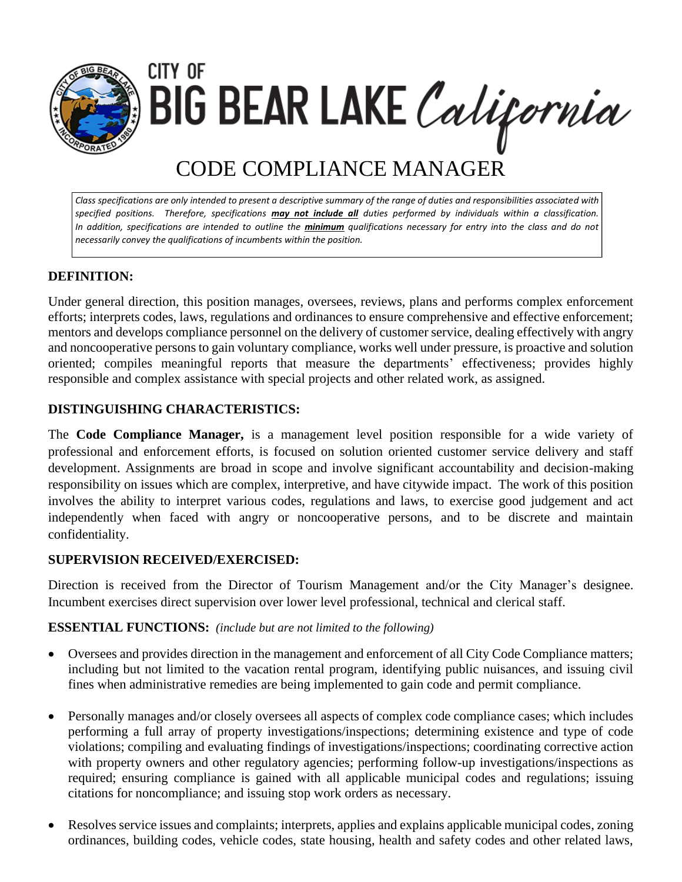

CITY OF BIG BEAR LAKE California

# CODE COMPLIANCE MANAGER

*Class specifications are only intended to present a descriptive summary of the range of duties and responsibilities associated with specified positions. Therefore, specifications may not include all duties performed by individuals within a classification. In addition, specifications are intended to outline the minimum qualifications necessary for entry into the class and do not necessarily convey the qualifications of incumbents within the position.*

# **DEFINITION:**

Under general direction, this position manages, oversees, reviews, plans and performs complex enforcement efforts; interprets codes, laws, regulations and ordinances to ensure comprehensive and effective enforcement; mentors and develops compliance personnel on the delivery of customer service, dealing effectively with angry and noncooperative persons to gain voluntary compliance, works well under pressure, is proactive and solution oriented; compiles meaningful reports that measure the departments' effectiveness; provides highly responsible and complex assistance with special projects and other related work, as assigned.

### **DISTINGUISHING CHARACTERISTICS:**

The **Code Compliance Manager,** is a management level position responsible for a wide variety of professional and enforcement efforts, is focused on solution oriented customer service delivery and staff development. Assignments are broad in scope and involve significant accountability and decision-making responsibility on issues which are complex, interpretive, and have citywide impact. The work of this position involves the ability to interpret various codes, regulations and laws, to exercise good judgement and act independently when faced with angry or noncooperative persons, and to be discrete and maintain confidentiality.

#### **SUPERVISION RECEIVED/EXERCISED:**

Direction is received from the Director of Tourism Management and/or the City Manager's designee. Incumbent exercises direct supervision over lower level professional, technical and clerical staff.

#### **ESSENTIAL FUNCTIONS:** *(include but are not limited to the following)*

- Oversees and provides direction in the management and enforcement of all City Code Compliance matters; including but not limited to the vacation rental program, identifying public nuisances, and issuing civil fines when administrative remedies are being implemented to gain code and permit compliance.
- Personally manages and/or closely oversees all aspects of complex code compliance cases; which includes performing a full array of property investigations/inspections; determining existence and type of code violations; compiling and evaluating findings of investigations/inspections; coordinating corrective action with property owners and other regulatory agencies; performing follow-up investigations/inspections as required; ensuring compliance is gained with all applicable municipal codes and regulations; issuing citations for noncompliance; and issuing stop work orders as necessary.
- Resolves service issues and complaints; interprets, applies and explains applicable municipal codes, zoning ordinances, building codes, vehicle codes, state housing, health and safety codes and other related laws,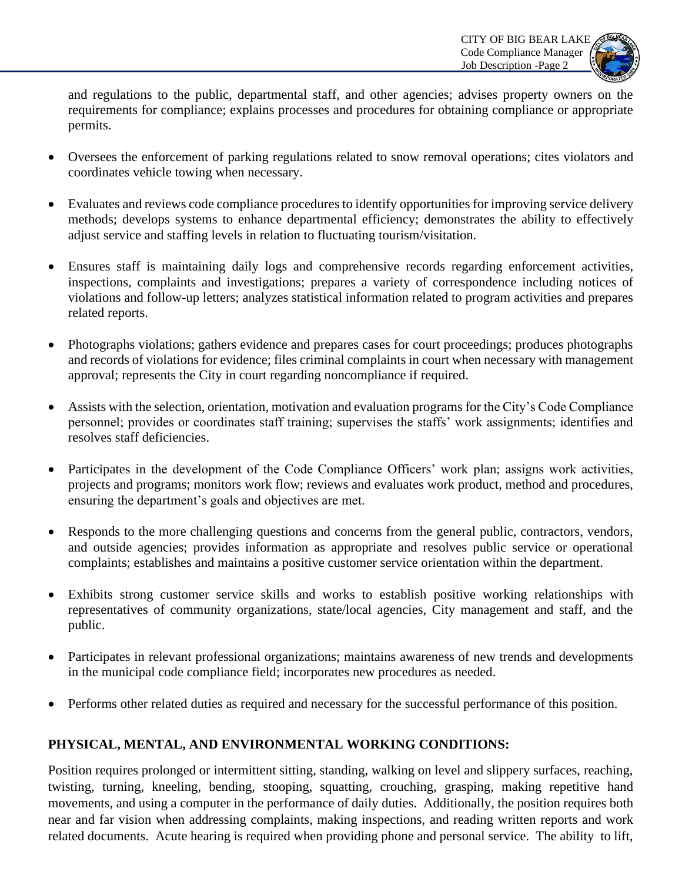

and regulations to the public, departmental staff, and other agencies; advises property owners on the requirements for compliance; explains processes and procedures for obtaining compliance or appropriate permits.

- Oversees the enforcement of parking regulations related to snow removal operations; cites violators and coordinates vehicle towing when necessary.
- Evaluates and reviews code compliance procedures to identify opportunities for improving service delivery methods; develops systems to enhance departmental efficiency; demonstrates the ability to effectively adjust service and staffing levels in relation to fluctuating tourism/visitation.
- Ensures staff is maintaining daily logs and comprehensive records regarding enforcement activities, inspections, complaints and investigations; prepares a variety of correspondence including notices of violations and follow-up letters; analyzes statistical information related to program activities and prepares related reports.
- Photographs violations; gathers evidence and prepares cases for court proceedings; produces photographs and records of violations for evidence; files criminal complaints in court when necessary with management approval; represents the City in court regarding noncompliance if required.
- Assists with the selection, orientation, motivation and evaluation programs for the City's Code Compliance personnel; provides or coordinates staff training; supervises the staffs' work assignments; identifies and resolves staff deficiencies.
- Participates in the development of the Code Compliance Officers' work plan; assigns work activities, projects and programs; monitors work flow; reviews and evaluates work product, method and procedures, ensuring the department's goals and objectives are met.
- Responds to the more challenging questions and concerns from the general public, contractors, vendors, and outside agencies; provides information as appropriate and resolves public service or operational complaints; establishes and maintains a positive customer service orientation within the department.
- Exhibits strong customer service skills and works to establish positive working relationships with representatives of community organizations, state/local agencies, City management and staff, and the public.
- Participates in relevant professional organizations; maintains awareness of new trends and developments in the municipal code compliance field; incorporates new procedures as needed.
- Performs other related duties as required and necessary for the successful performance of this position.

## **PHYSICAL, MENTAL, AND ENVIRONMENTAL WORKING CONDITIONS:**

Position requires prolonged or intermittent sitting, standing, walking on level and slippery surfaces, reaching, twisting, turning, kneeling, bending, stooping, squatting, crouching, grasping, making repetitive hand movements, and using a computer in the performance of daily duties. Additionally, the position requires both near and far vision when addressing complaints, making inspections, and reading written reports and work related documents. Acute hearing is required when providing phone and personal service. The ability to lift,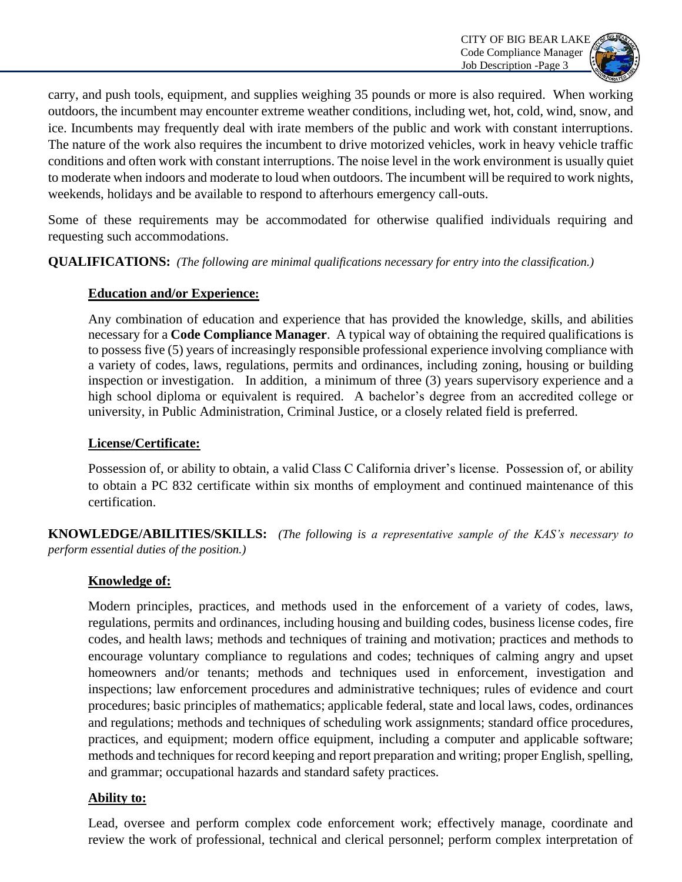

carry, and push tools, equipment, and supplies weighing 35 pounds or more is also required. When working outdoors, the incumbent may encounter extreme weather conditions, including wet, hot, cold, wind, snow, and ice. Incumbents may frequently deal with irate members of the public and work with constant interruptions. The nature of the work also requires the incumbent to drive motorized vehicles, work in heavy vehicle traffic conditions and often work with constant interruptions. The noise level in the work environment is usually quiet to moderate when indoors and moderate to loud when outdoors. The incumbent will be required to work nights, weekends, holidays and be available to respond to afterhours emergency call-outs.

Some of these requirements may be accommodated for otherwise qualified individuals requiring and requesting such accommodations.

**QUALIFICATIONS:** *(The following are minimal qualifications necessary for entry into the classification.)*

#### **Education and/or Experience:**

Any combination of education and experience that has provided the knowledge, skills, and abilities necessary for a **Code Compliance Manager**. A typical way of obtaining the required qualifications is to possess five (5) years of increasingly responsible professional experience involving compliance with a variety of codes, laws, regulations, permits and ordinances, including zoning, housing or building inspection or investigation. In addition, a minimum of three (3) years supervisory experience and a high school diploma or equivalent is required. A bachelor's degree from an accredited college or university, in Public Administration, Criminal Justice, or a closely related field is preferred.

## **License/Certificate:**

Possession of, or ability to obtain, a valid Class C California driver's license. Possession of, or ability to obtain a PC 832 certificate within six months of employment and continued maintenance of this certification.

**KNOWLEDGE/ABILITIES/SKILLS:** *(The following is a representative sample of the KAS's necessary to perform essential duties of the position.)* 

## **Knowledge of:**

Modern principles, practices, and methods used in the enforcement of a variety of codes, laws, regulations, permits and ordinances, including housing and building codes, business license codes, fire codes, and health laws; methods and techniques of training and motivation; practices and methods to encourage voluntary compliance to regulations and codes; techniques of calming angry and upset homeowners and/or tenants; methods and techniques used in enforcement, investigation and inspections; law enforcement procedures and administrative techniques; rules of evidence and court procedures; basic principles of mathematics; applicable federal, state and local laws, codes, ordinances and regulations; methods and techniques of scheduling work assignments; standard office procedures, practices, and equipment; modern office equipment, including a computer and applicable software; methods and techniques for record keeping and report preparation and writing; proper English, spelling, and grammar; occupational hazards and standard safety practices.

#### **Ability to:**

Lead, oversee and perform complex code enforcement work; effectively manage, coordinate and review the work of professional, technical and clerical personnel; perform complex interpretation of